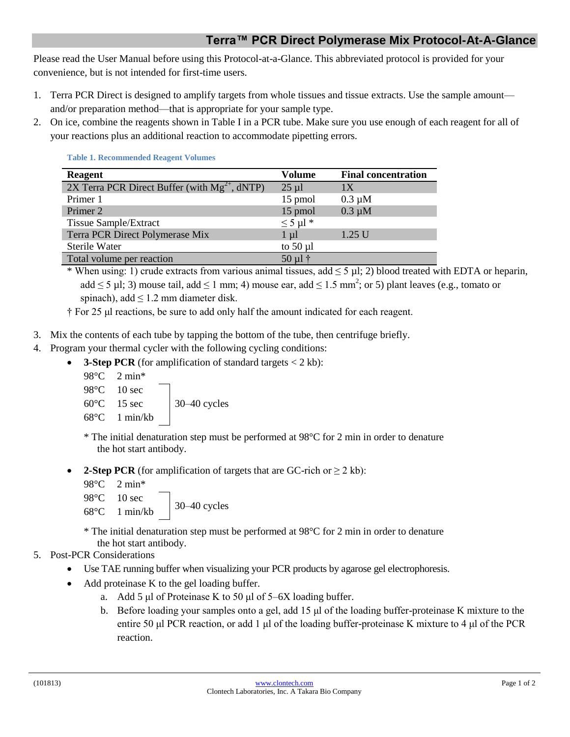## **Terra™ PCR Direct Polymerase Mix Protocol-At-A-Glance**

Please read the User Manual before using this Protocol-at-a-Glance. This abbreviated protocol is provided for your convenience, but is not intended for first-time users.

- 1. Terra PCR Direct is designed to amplify targets from whole tissues and tissue extracts. Use the sample amount and/or preparation method—that is appropriate for your sample type.
- 2. On ice, combine the reagents shown in Table I in a PCR tube. Make sure you use enough of each reagent for all of your reactions plus an additional reaction to accommodate pipetting errors.

| <b>Reagent</b>                                     | Volume             | <b>Final concentration</b> |
|----------------------------------------------------|--------------------|----------------------------|
| 2X Terra PCR Direct Buffer (with $Mg^{2+}$ , dNTP) | $25 \mu l$         | 1X                         |
| Primer 1                                           | 15 pmol            | $0.3 \mu M$                |
| Primer 2                                           | 15 pmol            | $0.3 \mu M$                |
| <b>Tissue Sample/Extract</b>                       | $\leq$ 5 µl $*$    |                            |
| Terra PCR Direct Polymerase Mix                    | $1 \mu l$          | $1.25$ U                   |
| Sterile Water                                      | to $50 \mu l$      |                            |
| Total volume per reaction                          | $50 \mu l \dagger$ |                            |

**Table 1. Recommended Reagent Volumes**

\* When using: 1) crude extracts from various animal tissues, add  $\leq$  5 µl; 2) blood treated with EDTA or heparin, add  $\leq$  5 µl; 3) mouse tail, add  $\leq$  1 mm; 4) mouse ear, add  $\leq$  1.5 mm<sup>2</sup>; or 5) plant leaves (e.g., tomato or spinach), add  $\leq 1.2$  mm diameter disk.

† For 25 μl reactions, be sure to add only half the amount indicated for each reagent.

- 3. Mix the contents of each tube by tapping the bottom of the tube, then centrifuge briefly.
- 4. Program your thermal cycler with the following cycling conditions:
	- **3-Step PCR** (for amplification of standard targets < 2 kb):
		- 98°C 2 min\* 98°C 10 sec  $60^{\circ}$ C 15 sec 30–40 cycles 68°C 1 min/kb

\* The initial denaturation step must be performed at 98°C for 2 min in order to denature the hot start antibody.

**2-Step PCR** (for amplification of targets that are GC-rich or  $\geq 2$  kb):

```
98°C 2 min*
98°C 10 sec
\frac{30-40}{8} cycles
```
\* The initial denaturation step must be performed at 98°C for 2 min in order to denature the hot start antibody.

## 5. Post-PCR Considerations

- Use TAE running buffer when visualizing your PCR products by agarose gel electrophoresis.
- Add proteinase K to the gel loading buffer.
	- a. Add 5 μl of Proteinase K to 50 μl of 5–6X loading buffer.
	- b. Before loading your samples onto a gel, add 15 μl of the loading buffer-proteinase K mixture to the entire 50 μl PCR reaction, or add 1 μl of the loading buffer-proteinase K mixture to 4 μl of the PCR reaction.